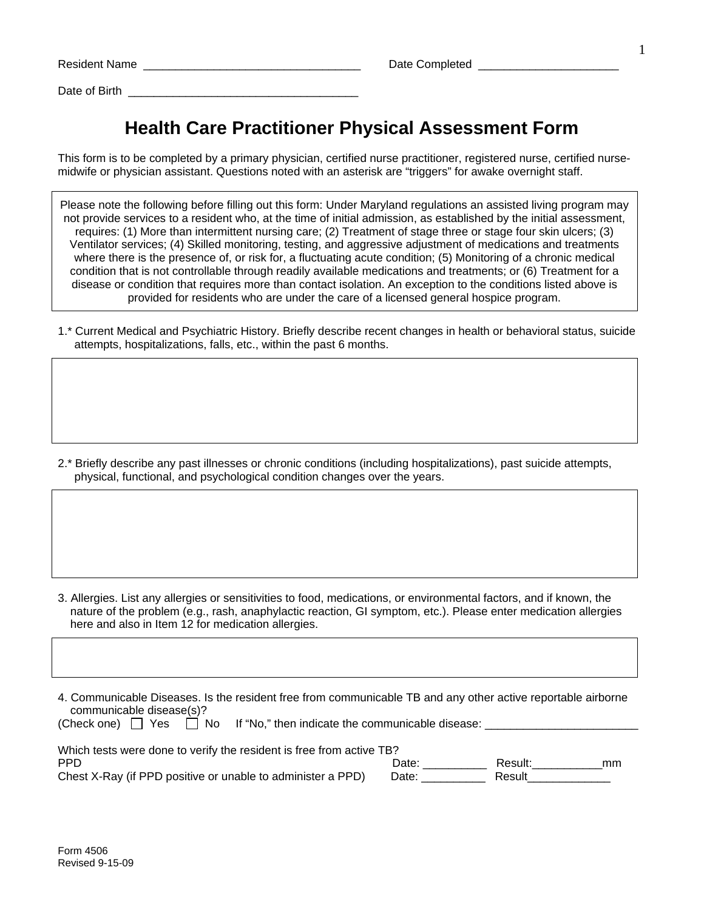Resident Name \_\_\_\_\_\_\_\_\_\_\_\_\_\_\_\_\_\_\_\_\_\_\_\_\_\_\_\_\_\_\_\_\_\_ Date Completed \_\_\_\_\_\_\_\_\_\_\_\_\_\_\_\_\_\_\_\_\_\_

Date of Birth **Exercise 20** 

## **Health Care Practitioner Physical Assessment Form**

This form is to be completed by a primary physician, certified nurse practitioner, registered nurse, certified nursemidwife or physician assistant. Questions noted with an asterisk are "triggers" for awake overnight staff.

Please note the following before filling out this form: Under Maryland regulations an assisted living program may not provide services to a resident who, at the time of initial admission, as established by the initial assessment, requires: (1) More than intermittent nursing care; (2) Treatment of stage three or stage four skin ulcers; (3) Ventilator services; (4) Skilled monitoring, testing, and aggressive adjustment of medications and treatments where there is the presence of, or risk for, a fluctuating acute condition; (5) Monitoring of a chronic medical condition that is not controllable through readily available medications and treatments; or (6) Treatment for a disease or condition that requires more than contact isolation. An exception to the conditions listed above is provided for residents who are under the care of a licensed general hospice program.

1.\* Current Medical and Psychiatric History. Briefly describe recent changes in health or behavioral status, suicide attempts, hospitalizations, falls, etc., within the past 6 months.

2.\* Briefly describe any past illnesses or chronic conditions (including hospitalizations), past suicide attempts, physical, functional, and psychological condition changes over the years.

3. Allergies. List any allergies or sensitivities to food, medications, or environmental factors, and if known, the nature of the problem (e.g., rash, anaphylactic reaction, GI symptom, etc.). Please enter medication allergies here and also in Item 12 for medication allergies.

4. Communicable Diseases. Is the resident free from communicable TB and any other active reportable airborne communicable disease(s)?

(Check one)  $\Box$  Yes  $\Box$  No If "No," then indicate the communicable disease:

| Which tests were done to verify the resident is free from active TB?      |                |                   |    |
|---------------------------------------------------------------------------|----------------|-------------------|----|
| <b>PPD</b><br>Chest X-Ray (if PPD positive or unable to administer a PPD) | Date:<br>Date: | Result:<br>Result | mm |
|                                                                           |                |                   |    |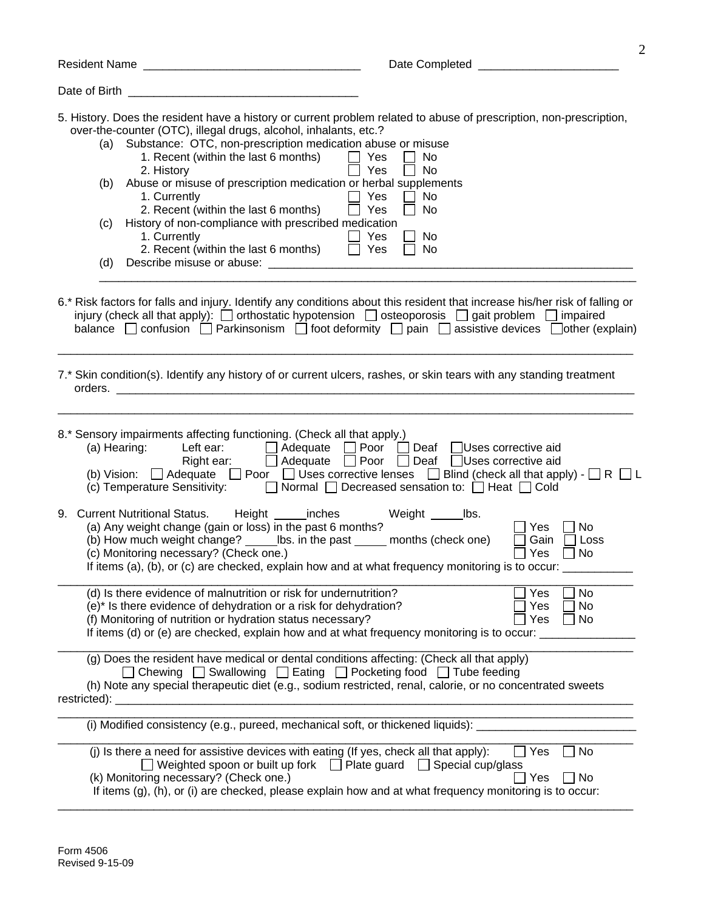| Date of Birth                                                                                                                                                                                                                                                                                                                                                                                                                                                                                                                                                                                      |                                                                                                                             |
|----------------------------------------------------------------------------------------------------------------------------------------------------------------------------------------------------------------------------------------------------------------------------------------------------------------------------------------------------------------------------------------------------------------------------------------------------------------------------------------------------------------------------------------------------------------------------------------------------|-----------------------------------------------------------------------------------------------------------------------------|
| 5. History. Does the resident have a history or current problem related to abuse of prescription, non-prescription,<br>over-the-counter (OTC), illegal drugs, alcohol, inhalants, etc.?<br>Substance: OTC, non-prescription medication abuse or misuse<br>(a)<br>1. Recent (within the last 6 months)<br>$\Box$ Yes<br>2. History<br>Abuse or misuse of prescription medication or herbal supplements<br>(b)<br>1. Currently<br>2. Recent (within the last 6 months)<br>History of non-compliance with prescribed medication<br>(c)<br>1. Currently<br>2. Recent (within the last 6 months)<br>(d) | No<br>No<br>Yes<br>Yes<br>$\Box$<br>No<br>Yes<br>No<br>Yes<br>$\Box$<br>No<br>Yes<br>No                                     |
| 6.* Risk factors for falls and injury. Identify any conditions about this resident that increase his/her risk of falling or<br>injury (check all that apply): $\Box$ orthostatic hypotension $\Box$ osteoporosis $\Box$ gait problem $\Box$ impaired<br>balance nconfusion in Parkinsonism in foot deformity npain assistive devices nother (explain)                                                                                                                                                                                                                                              |                                                                                                                             |
| 7.* Skin condition(s). Identify any history of or current ulcers, rashes, or skin tears with any standing treatment                                                                                                                                                                                                                                                                                                                                                                                                                                                                                |                                                                                                                             |
| 8.* Sensory impairments affecting functioning. (Check all that apply.)<br>(a) Hearing:<br>(b) Vision: $\Box$ Adequate $\Box$ Poor $\Box$ Uses corrective lenses $\Box$ Blind (check all that apply) $\Box$ R $\Box$ L<br>(c) Temperature Sensitivity: $\Box$ Normal $\Box$ Decreased sensation to: $\Box$ Heat $\Box$ Cold                                                                                                                                                                                                                                                                         | Left ear: <u>□</u> Adequate □ Poor □ Deaf □ Uses corrective aid<br>Right ear: <u>Adequate</u> Poor Deaf Uses corrective aid |
| 9. Current Nutritional Status. Height _____inches Weight __________ lbs.<br>(a) Any weight change (gain or loss) in the past 6 months?<br>(b) How much weight change? ______ lbs. in the past ______ months (check one)<br>(c) Monitoring necessary? (Check one.)<br>If items (a), (b), or (c) are checked, explain how and at what frequency monitoring is to occur:                                                                                                                                                                                                                              | Yes<br>No<br>Gain<br>Loss<br>Yes<br>No                                                                                      |
| (d) Is there evidence of malnutrition or risk for undernutrition?<br>(e)* Is there evidence of dehydration or a risk for dehydration?<br>(f) Monitoring of nutrition or hydration status necessary?<br>If items (d) or (e) are checked, explain how and at what frequency monitoring is to occur:                                                                                                                                                                                                                                                                                                  | No<br>Yes<br>Yes<br>No<br>No<br>Yes                                                                                         |
| (g) Does the resident have medical or dental conditions affecting: (Check all that apply)<br>$\Box$ Chewing $\Box$ Swallowing $\Box$ Eating $\Box$ Pocketing food $\Box$ Tube feeding<br>(h) Note any special therapeutic diet (e.g., sodium restricted, renal, calorie, or no concentrated sweets<br>restricted): ______                                                                                                                                                                                                                                                                          |                                                                                                                             |
| (i) Modified consistency (e.g., pureed, mechanical soft, or thickened liquids): ______________________________                                                                                                                                                                                                                                                                                                                                                                                                                                                                                     |                                                                                                                             |
| (j) Is there a need for assistive devices with eating (If yes, check all that apply):<br>$\Box$ Weighted spoon or built up fork $\Box$ Plate guard $\Box$ Special cup/glass<br>(k) Monitoring necessary? (Check one.)<br>If items (g), (h), or (i) are checked, please explain how and at what frequency monitoring is to occur:                                                                                                                                                                                                                                                                   | $\Box$ No<br>Yes<br>$\Box$ Yes<br>∐ No                                                                                      |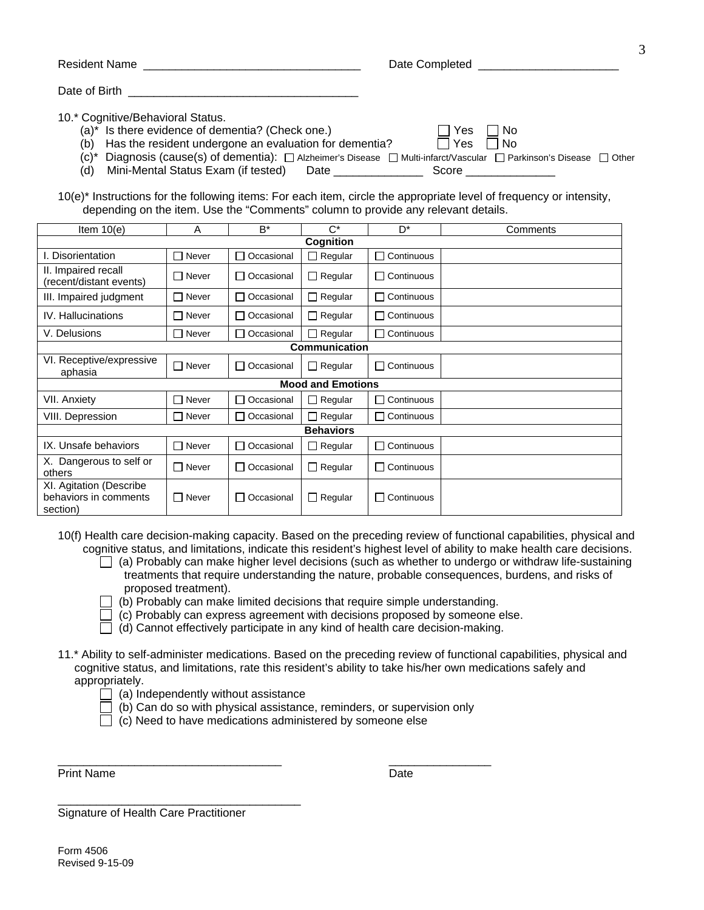| <b>Resident Name</b>                                                                                                                                                                                                                                                                                                                                                                                                                                                                                                                                                              | Date Completed <b>Example 20</b>      |
|-----------------------------------------------------------------------------------------------------------------------------------------------------------------------------------------------------------------------------------------------------------------------------------------------------------------------------------------------------------------------------------------------------------------------------------------------------------------------------------------------------------------------------------------------------------------------------------|---------------------------------------|
| Date of Birth                                                                                                                                                                                                                                                                                                                                                                                                                                                                                                                                                                     |                                       |
| 10.* Cognitive/Behavioral Status.<br>(a)* Is there evidence of dementia? (Check one.)<br>Has the resident undergone an evaluation for dementia?<br>(b)<br>(c)* Diagnosis (cause(s) of dementia): $\Box$ Alzheimer's Disease $\Box$ Multi-infarct/Vascular $\Box$ Parkinson's Disease $\Box$ Other<br>Mini-Mental Status Exam (if tested)<br>(d)<br>Date the control of the control of the control of the control of the control of the control of the control of the control of the control of the control of the control of the control of the control of the control of the con | Yes<br>– I No<br>Yes<br>l No<br>Score |

10(e)\* Instructions for the following items: For each item, circle the appropriate level of frequency or intensity, depending on the item. Use the "Comments" column to provide any relevant details.

| Item $10(e)$                                                 | A            | $B^*$             | $C^*$                    | D <sup>*</sup>    | Comments |
|--------------------------------------------------------------|--------------|-------------------|--------------------------|-------------------|----------|
|                                                              |              |                   | Cognition                |                   |          |
| I. Disorientation                                            | $\Box$ Never | Occasional<br>П   | $\Box$ Regular           | $\Box$ Continuous |          |
| II. Impaired recall<br>(recent/distant events)               | $\Box$ Never | □ Occasional      | $\Box$ Regular           | $\Box$ Continuous |          |
| III. Impaired judgment                                       | $\Box$ Never | $\Box$ Occasional | $\Box$ Regular           | $\Box$ Continuous |          |
| <b>IV.</b> Hallucinations                                    | $\Box$ Never | □ Occasional      | $\Box$ Regular           | $\Box$ Continuous |          |
| V. Delusions                                                 | $\Box$ Never | Occasional        | $\Box$ Regular           | $\Box$ Continuous |          |
|                                                              |              |                   | <b>Communication</b>     |                   |          |
| VI. Receptive/expressive<br>aphasia                          | $\Box$ Never | $\Box$ Occasional | $\Box$ Regular           | $\Box$ Continuous |          |
|                                                              |              |                   | <b>Mood and Emotions</b> |                   |          |
| VII. Anxiety                                                 | $\Box$ Never | Occasional        | $\Box$ Regular           | $\Box$ Continuous |          |
| VIII. Depression                                             | $\Box$ Never | □ Occasional      | $\Box$ Regular           | $\Box$ Continuous |          |
| <b>Behaviors</b>                                             |              |                   |                          |                   |          |
| IX. Unsafe behaviors                                         | $\Box$ Never | Occasional<br>П   | $\Box$ Regular           | $\Box$ Continuous |          |
| X. Dangerous to self or<br>others                            | $\Box$ Never | Occasional<br>П   | $\Box$ Regular           | $\Box$ Continuous |          |
| XI. Agitation (Describe<br>behaviors in comments<br>section) | $\Box$ Never | Occasional<br>ΙI  | $\Box$ Regular           | $\Box$ Continuous |          |

10(f) Health care decision-making capacity. Based on the preceding review of functional capabilities, physical and cognitive status, and limitations, indicate this resident's highest level of ability to make health care decisions.

- $\Box$  (a) Probably can make higher level decisions (such as whether to undergo or withdraw life-sustaining treatments that require understanding the nature, probable consequences, burdens, and risks of proposed treatment).
- $\Box$  (b) Probably can make limited decisions that require simple understanding.
- $\Box$  (c) Probably can express agreement with decisions proposed by someone else.
- $\Box$  (d) Cannot effectively participate in any kind of health care decision-making.
- 11.\* Ability to self-administer medications. Based on the preceding review of functional capabilities, physical and cognitive status, and limitations, rate this resident's ability to take his/her own medications safely and appropriately.
	- $\Box$  (a) Independently without assistance
	- $\Box$  (b) Can do so with physical assistance, reminders, or supervision only
	- $\Box$  (c) Need to have medications administered by someone else

\_\_\_\_\_\_\_\_\_\_\_\_\_\_\_\_\_\_\_\_\_\_\_\_\_\_\_\_\_\_\_\_\_\_\_ \_\_\_\_\_\_\_\_\_\_\_\_\_\_\_\_

Print Name Date

\_\_\_\_\_\_\_\_\_\_\_\_\_\_\_\_\_\_\_\_\_\_\_\_\_\_\_\_\_\_\_\_\_\_\_\_\_\_ Signature of Health Care Practitioner

Form 4506 Revised 9-15-09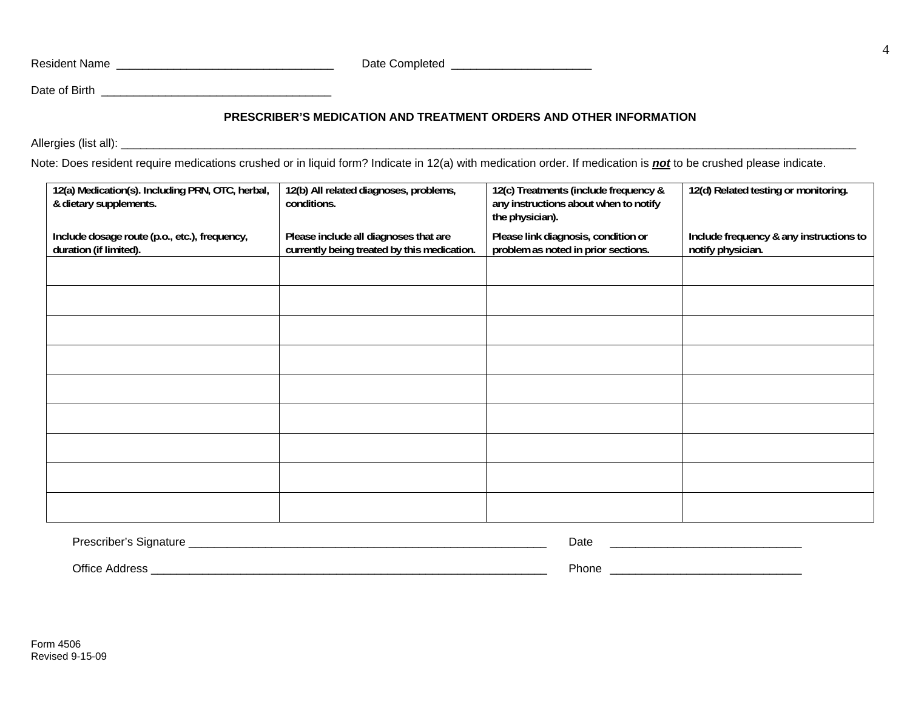Resident Name \_\_\_\_\_\_\_\_\_\_\_\_\_\_\_\_\_\_\_\_\_\_\_\_\_\_\_\_\_\_\_\_\_\_ Date Completed \_\_\_\_\_\_\_\_\_\_\_\_\_\_\_\_\_\_\_\_\_\_

Date of Birth **Example 20** and 20 and 20 and 20 and 20 and 20 and 20 and 20 and 20 and 20 and 20 and 20 and 20 and 20 and 20 and 20 and 20 and 20 and 20 and 20 and 20 and 20 and 20 and 20 and 20 and 20 and 20 and 20 and 20

## **PRESCRIBER'S MEDICATION AND TREATMENT ORDERS AND OTHER INFORMATION**

Allergies (list all): \_\_\_\_\_\_\_\_\_\_\_\_\_\_\_\_\_\_\_\_\_\_\_\_\_\_\_\_\_\_\_\_\_\_\_\_\_\_\_\_\_\_\_\_\_\_\_\_\_\_\_\_\_\_\_\_\_\_\_\_\_\_\_\_\_\_\_\_\_\_\_\_\_\_\_\_\_\_\_\_\_\_\_\_\_\_\_\_\_\_\_\_\_\_\_\_\_\_\_\_\_\_\_\_\_\_\_\_\_\_\_\_\_\_\_

Note: Does resident require medications crushed or in liquid form? Indicate in 12(a) with medication order. If medication is *not* to be crushed please indicate.

| 12(a) Medication(s). Including PRN, OTC, herbal,<br>& dietary supplements. | 12(b) All related diagnoses, problems,<br>conditions.                                | 12(c) Treatments (include frequency &<br>any instructions about when to notify<br>the physician). | 12(d) Related testing or monitoring.                         |
|----------------------------------------------------------------------------|--------------------------------------------------------------------------------------|---------------------------------------------------------------------------------------------------|--------------------------------------------------------------|
| Include dosage route (p.o., etc.), frequency,<br>duration (if limited).    | Please include all diagnoses that are<br>currently being treated by this medication. | Please link diagnosis, condition or<br>problem as noted in prior sections.                        | Include frequency & any instructions to<br>notify physician. |
|                                                                            |                                                                                      |                                                                                                   |                                                              |
|                                                                            |                                                                                      |                                                                                                   |                                                              |
|                                                                            |                                                                                      |                                                                                                   |                                                              |
|                                                                            |                                                                                      |                                                                                                   |                                                              |
|                                                                            |                                                                                      |                                                                                                   |                                                              |
|                                                                            |                                                                                      |                                                                                                   |                                                              |
|                                                                            |                                                                                      |                                                                                                   |                                                              |
|                                                                            |                                                                                      |                                                                                                   |                                                              |
|                                                                            |                                                                                      |                                                                                                   |                                                              |

| <b>Prescriber's Signature</b> | Date  |
|-------------------------------|-------|
| <b>Office Address</b>         | Phone |